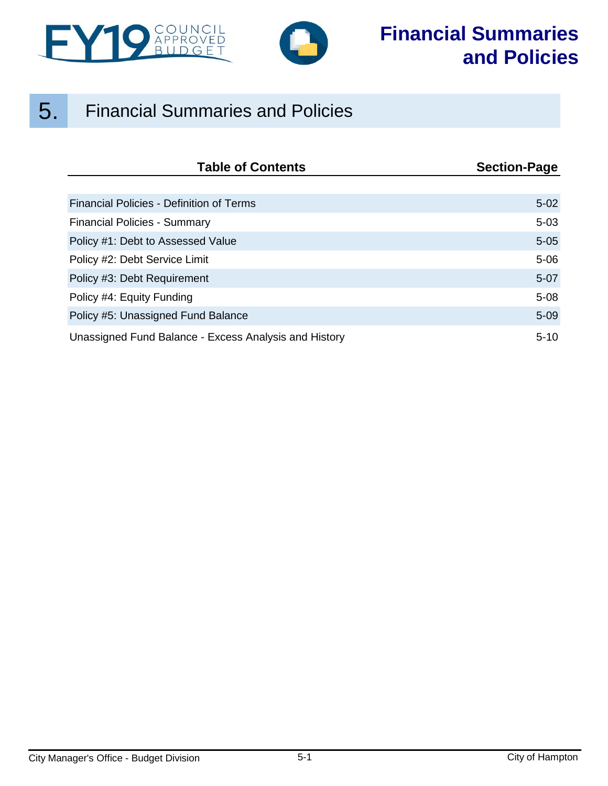



## 5. Financial Summaries and Policies

| <b>Table of Contents</b>                              | <b>Section-Page</b> |
|-------------------------------------------------------|---------------------|
|                                                       |                     |
| Financial Policies - Definition of Terms              | $5-02$              |
| <b>Financial Policies - Summary</b>                   | $5 - 03$            |
| Policy #1: Debt to Assessed Value                     | $5 - 05$            |
| Policy #2: Debt Service Limit                         | $5 - 06$            |
| Policy #3: Debt Requirement                           | $5-07$              |
| Policy #4: Equity Funding                             | $5 - 08$            |
| Policy #5: Unassigned Fund Balance                    | $5 - 09$            |
| Unassigned Fund Balance - Excess Analysis and History | $5 - 10$            |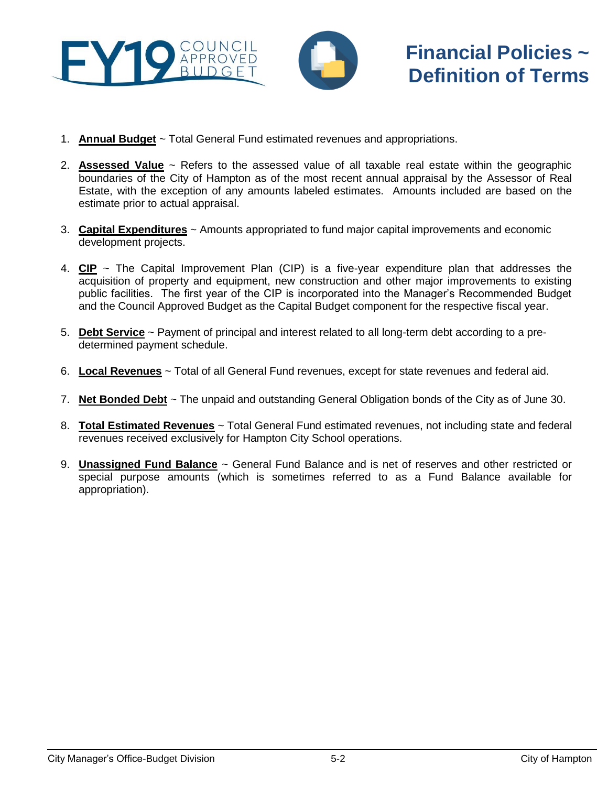<span id="page-1-0"></span>



# **Financial Policies ~ Definition of Terms**

- 1. **Annual Budget** ~ Total General Fund estimated revenues and appropriations.
- 2. **Assessed Value** ~ Refers to the assessed value of all taxable real estate within the geographic boundaries of the City of Hampton as of the most recent annual appraisal by the Assessor of Real Estate, with the exception of any amounts labeled estimates. Amounts included are based on the estimate prior to actual appraisal.
- 3. **Capital Expenditures** ~ Amounts appropriated to fund major capital improvements and economic development projects.
- 4. **CIP** ~ The Capital Improvement Plan (CIP) is a five-year expenditure plan that addresses the acquisition of property and equipment, new construction and other major improvements to existing public facilities. The first year of the CIP is incorporated into the Manager's Recommended Budget and the Council Approved Budget as the Capital Budget component for the respective fiscal year.
- 5. **Debt Service** ~ Payment of principal and interest related to all long-term debt according to a predetermined payment schedule.
- 6. **Local Revenues** ~ Total of all General Fund revenues, except for state revenues and federal aid.
- 7. **Net Bonded Debt** ~ The unpaid and outstanding General Obligation bonds of the City as of June 30.
- 8. **Total Estimated Revenues** ~ Total General Fund estimated revenues, not including state and federal revenues received exclusively for Hampton City School operations.
- 9. **Unassigned Fund Balance** ~ General Fund Balance and is net of reserves and other restricted or special purpose amounts (which is sometimes referred to as a Fund Balance available for appropriation).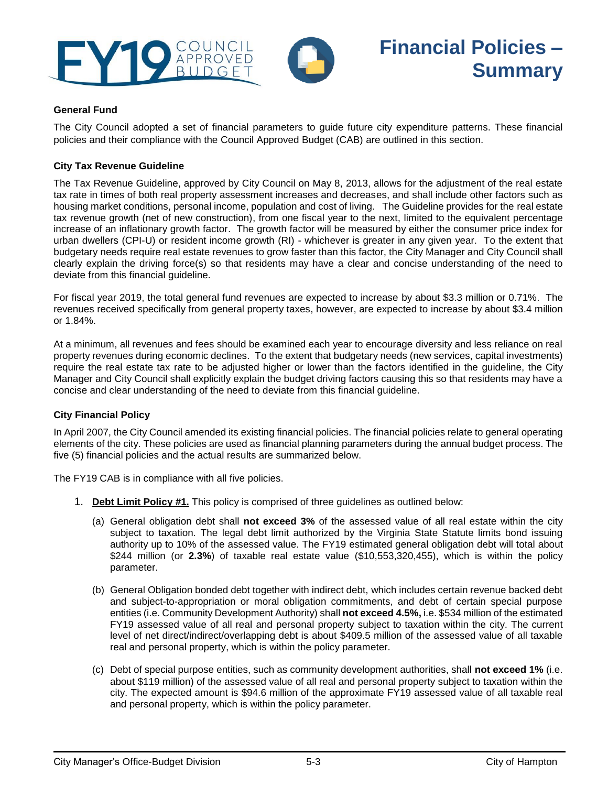<span id="page-2-0"></span>



### **General Fund**

The City Council adopted a set of financial parameters to guide future city expenditure patterns. These financial policies and their compliance with the Council Approved Budget (CAB) are outlined in this section.

#### **City Tax Revenue Guideline**

The Tax Revenue Guideline, approved by City Council on May 8, 2013, allows for the adjustment of the real estate tax rate in times of both real property assessment increases and decreases, and shall include other factors such as housing market conditions, personal income, population and cost of living. The Guideline provides for the real estate tax revenue growth (net of new construction), from one fiscal year to the next, limited to the equivalent percentage increase of an inflationary growth factor. The growth factor will be measured by either the consumer price index for urban dwellers (CPI-U) or resident income growth (RI) - whichever is greater in any given year. To the extent that budgetary needs require real estate revenues to grow faster than this factor, the City Manager and City Council shall clearly explain the driving force(s) so that residents may have a clear and concise understanding of the need to deviate from this financial guideline.

For fiscal year 2019, the total general fund revenues are expected to increase by about \$3.3 million or 0.71%. The revenues received specifically from general property taxes, however, are expected to increase by about \$3.4 million or 1.84%.

At a minimum, all revenues and fees should be examined each year to encourage diversity and less reliance on real property revenues during economic declines. To the extent that budgetary needs (new services, capital investments) require the real estate tax rate to be adjusted higher or lower than the factors identified in the guideline, the City Manager and City Council shall explicitly explain the budget driving factors causing this so that residents may have a concise and clear understanding of the need to deviate from this financial guideline.

#### **City Financial Policy**

In April 2007, the City Council amended its existing financial policies. The financial policies relate to general operating elements of the city. These policies are used as financial planning parameters during the annual budget process. The five (5) financial policies and the actual results are summarized below.

The FY19 CAB is in compliance with all five policies.

- 1. **Debt Limit Policy #1.** This policy is comprised of three guidelines as outlined below:
	- (a) General obligation debt shall **not exceed 3%** of the assessed value of all real estate within the city subject to taxation. The legal debt limit authorized by the Virginia State Statute limits bond issuing authority up to 10% of the assessed value. The FY19 estimated general obligation debt will total about \$244 million (or **2.3%**) of taxable real estate value (\$10,553,320,455), which is within the policy parameter.
	- (b) General Obligation bonded debt together with indirect debt, which includes certain revenue backed debt and subject-to-appropriation or moral obligation commitments, and debt of certain special purpose entities (i.e. Community Development Authority) shall **not exceed 4.5%,** i.e. \$534 million of the estimated FY19 assessed value of all real and personal property subject to taxation within the city. The current level of net direct/indirect/overlapping debt is about \$409.5 million of the assessed value of all taxable real and personal property, which is within the policy parameter.
	- (c) Debt of special purpose entities, such as community development authorities, shall **not exceed 1%** (i.e. about \$119 million) of the assessed value of all real and personal property subject to taxation within the city. The expected amount is \$94.6 million of the approximate FY19 assessed value of all taxable real and personal property, which is within the policy parameter.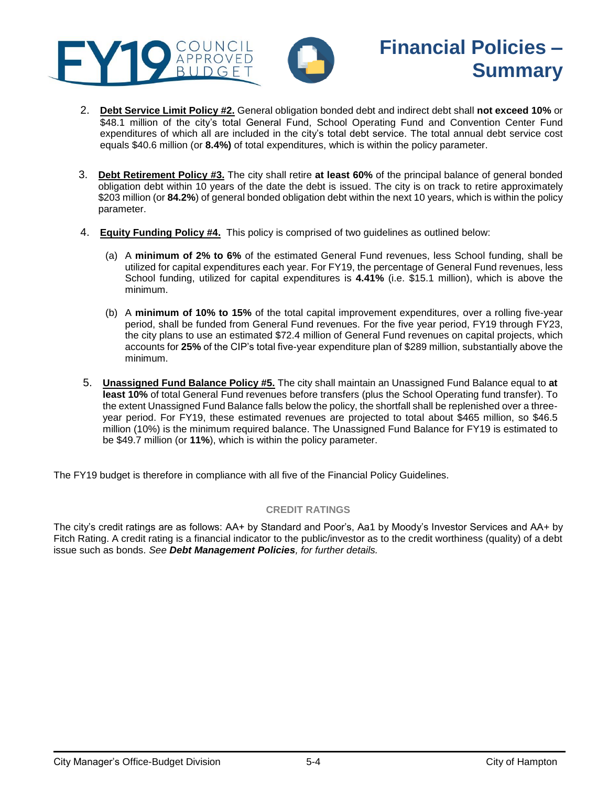



# **Financial Policies – Summary**

- 2. **Debt Service Limit Policy #2.** General obligation bonded debt and indirect debt shall **not exceed 10%** or \$48.1 million of the city's total General Fund, School Operating Fund and Convention Center Fund expenditures of which all are included in the city's total debt service. The total annual debt service cost equals \$40.6 million (or **8.4%)** of total expenditures, which is within the policy parameter.
- 3. **Debt Retirement Policy #3.** The city shall retire **at least 60%** of the principal balance of general bonded obligation debt within 10 years of the date the debt is issued. The city is on track to retire approximately \$203 million (or **84.2%**) of general bonded obligation debt within the next 10 years, which is within the policy parameter.
- 4. **Equity Funding Policy #4.** This policy is comprised of two guidelines as outlined below:
	- (a) A **minimum of 2% to 6%** of the estimated General Fund revenues, less School funding, shall be utilized for capital expenditures each year. For FY19, the percentage of General Fund revenues, less School funding, utilized for capital expenditures is **4.41%** (i.e. \$15.1 million), which is above the minimum.
	- (b) A **minimum of 10% to 15%** of the total capital improvement expenditures, over a rolling five-year period, shall be funded from General Fund revenues. For the five year period, FY19 through FY23, the city plans to use an estimated \$72.4 million of General Fund revenues on capital projects, which accounts for **25%** of the CIP's total five-year expenditure plan of \$289 million, substantially above the minimum.
- 5. **Unassigned Fund Balance Policy #5.** The city shall maintain an Unassigned Fund Balance equal to **at least 10%** of total General Fund revenues before transfers (plus the School Operating fund transfer). To the extent Unassigned Fund Balance falls below the policy, the shortfall shall be replenished over a threeyear period. For FY19, these estimated revenues are projected to total about \$465 million, so \$46.5 million (10%) is the minimum required balance. The Unassigned Fund Balance for FY19 is estimated to be \$49.7 million (or **11%**), which is within the policy parameter.

The FY19 budget is therefore in compliance with all five of the Financial Policy Guidelines.

### **CREDIT RATINGS**

The city's credit ratings are as follows: AA+ by Standard and Poor's, Aa1 by Moody's Investor Services and AA+ by Fitch Rating. A credit rating is a financial indicator to the public/investor as to the credit worthiness (quality) of a debt issue such as bonds. *See Debt Management Policies, for further details.*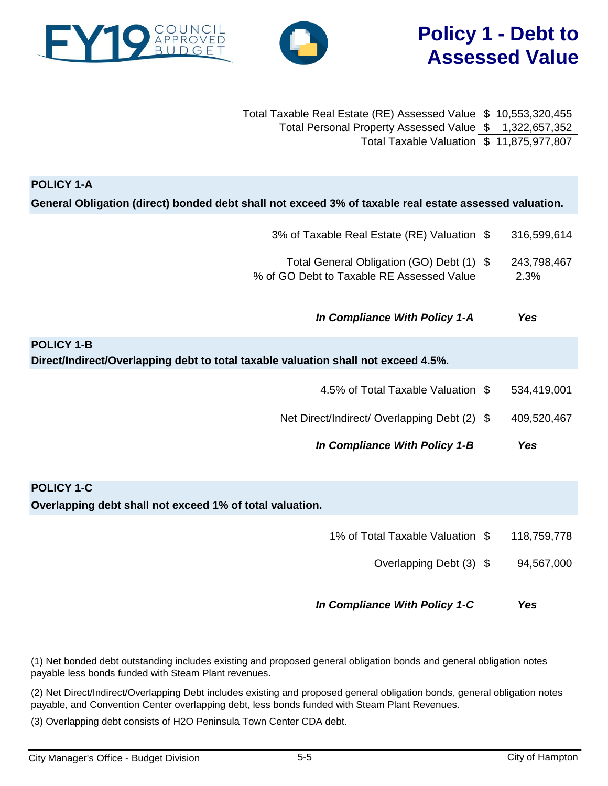## **Policy 1 - Debt to Assessed Value**

<span id="page-4-0"></span>

| Total Taxable Real Estate (RE) Assessed Value \$ 10,553,320,455 |  |
|-----------------------------------------------------------------|--|
| Total Personal Property Assessed Value \$ 1,322,657,352         |  |
| Total Taxable Valuation \$ 11,875,977,807                       |  |

| <b>POLICY 1-A</b><br>General Obligation (direct) bonded debt shall not exceed 3% of taxable real estate assessed valuation. |                     |
|-----------------------------------------------------------------------------------------------------------------------------|---------------------|
|                                                                                                                             |                     |
| 3% of Taxable Real Estate (RE) Valuation \$                                                                                 | 316,599,614         |
| Total General Obligation (GO) Debt (1) \$<br>% of GO Debt to Taxable RE Assessed Value                                      | 243,798,467<br>2.3% |
| In Compliance With Policy 1-A                                                                                               | <b>Yes</b>          |
| <b>POLICY 1-B</b>                                                                                                           |                     |
| Direct/Indirect/Overlapping debt to total taxable valuation shall not exceed 4.5%.                                          |                     |
| 4.5% of Total Taxable Valuation \$                                                                                          | 534,419,001         |
| Net Direct/Indirect/ Overlapping Debt (2) \$                                                                                | 409,520,467         |
| In Compliance With Policy 1-B                                                                                               | <b>Yes</b>          |
|                                                                                                                             |                     |
| <b>POLICY 1-C</b>                                                                                                           |                     |
| Overlapping debt shall not exceed 1% of total valuation.                                                                    |                     |
| 1% of Total Taxable Valuation \$                                                                                            | 118,759,778         |
| Overlapping Debt (3) \$                                                                                                     | 94,567,000          |
| In Compliance With Policy 1-C                                                                                               | <b>Yes</b>          |

(1) Net bonded debt outstanding includes existing and proposed general obligation bonds and general obligation notes payable less bonds funded with Steam Plant revenues.

(2) Net Direct/Indirect/Overlapping Debt includes existing and proposed general obligation bonds, general obligation notes payable, and Convention Center overlapping debt, less bonds funded with Steam Plant Revenues.

(3) Overlapping debt consists of H2O Peninsula Town Center CDA debt.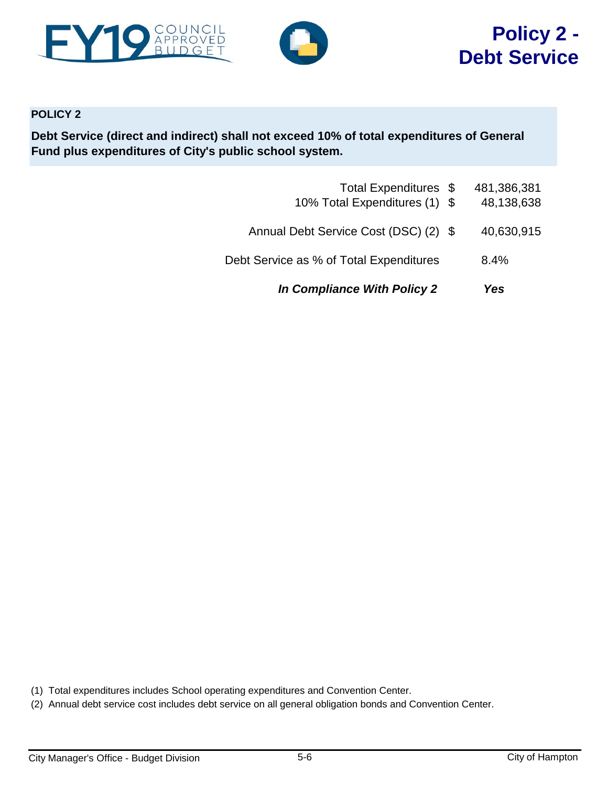<span id="page-5-0"></span>



### **POLICY 2**

**Debt Service (direct and indirect) shall not exceed 10% of total expenditures of General Fund plus expenditures of City's public school system.**

| <b>In Compliance With Policy 2</b>                     | Yes                       |
|--------------------------------------------------------|---------------------------|
| Debt Service as % of Total Expenditures                | 8.4%                      |
| Annual Debt Service Cost (DSC) (2) \$                  | 40,630,915                |
| Total Expenditures \$<br>10% Total Expenditures (1) \$ | 481,386,381<br>48,138,638 |

(1) Total expenditures includes School operating expenditures and Convention Center.

(2) Annual debt service cost includes debt service on all general obligation bonds and Convention Center.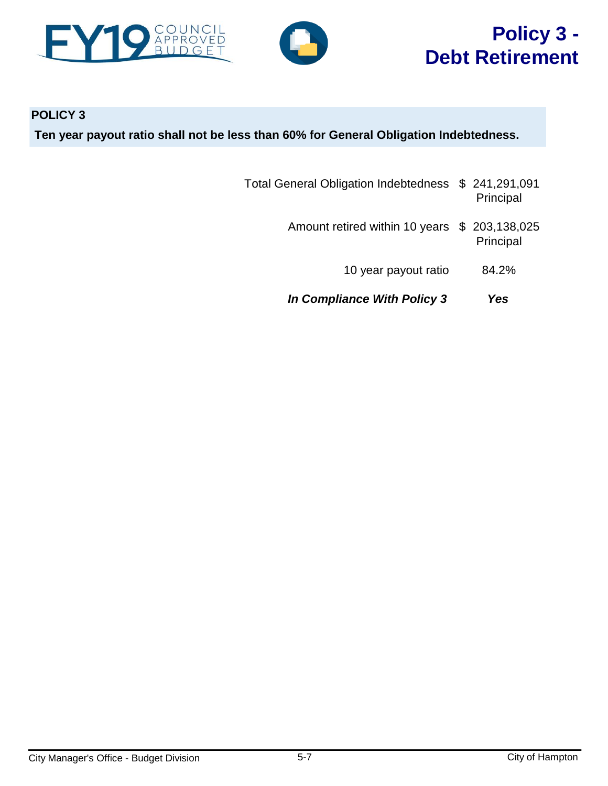<span id="page-6-0"></span>



# **Policy 3 - Debt Retirement**

### **POLICY 3 Ten year payout ratio shall not be less than 60% for General Obligation Indebtedness.**

- Total General Obligation Indebtedness \$ 241,291,091 Principal
	- Amount retired within 10 years \$ 203,138,025 Principal
		- 10 year payout ratio 84.2%
	- *In Compliance With Policy 3 Yes*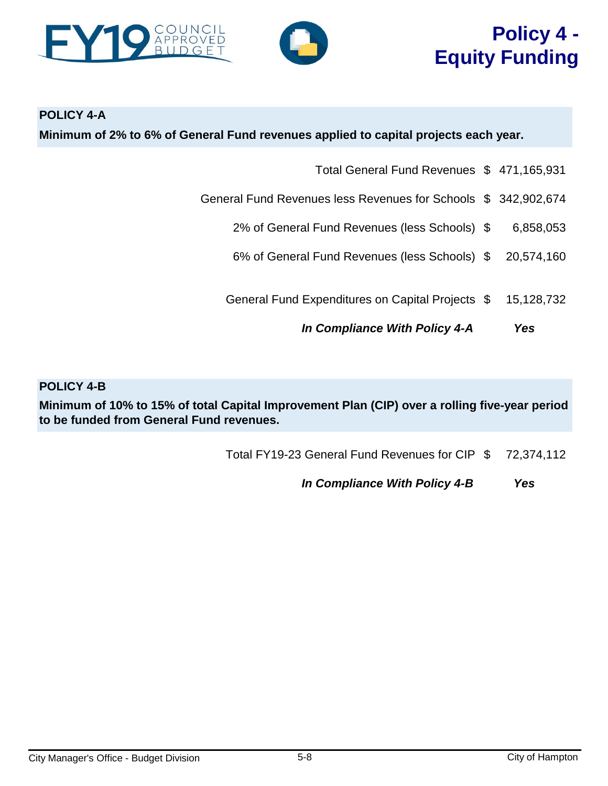<span id="page-7-0"></span>



# **Policy 4 - Equity Funding**

**POLICY 4-A**

**Minimum of 2% to 6% of General Fund revenues applied to capital projects each year.**

- Total General Fund Revenues \$ 471,165,931
- General Fund Revenues less Revenues for Schools \$ 342,902,674
	- 2% of General Fund Revenues (less Schools) \$ 6,858,053
	- 6% of General Fund Revenues (less Schools) \$ 20,574,160
	- General Fund Expenditures on Capital Projects \$ 15,128,732
		- *In Compliance With Policy 4-A Yes*

**POLICY 4-B**

**Minimum of 10% to 15% of total Capital Improvement Plan (CIP) over a rolling five-year period to be funded from General Fund revenues.**

Total FY19-23 General Fund Revenues for CIP \$ 72,374,112

*In Compliance With Policy 4-B Yes*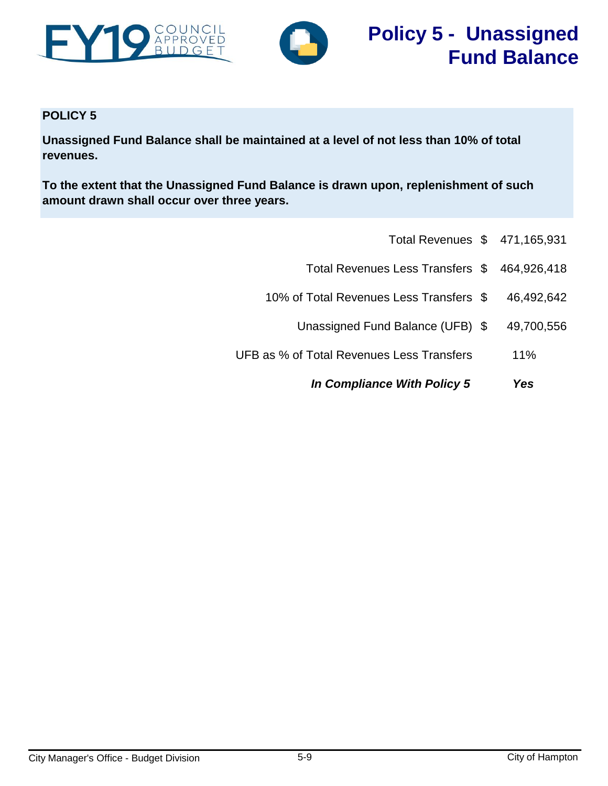<span id="page-8-0"></span>



### **POLICY 5**

**Unassigned Fund Balance shall be maintained at a level of not less than 10% of total revenues.**

**To the extent that the Unassigned Fund Balance is drawn upon, replenishment of such amount drawn shall occur over three years.**

- Total Revenues \$ 471,165,931
- Total Revenues Less Transfers \$ 464,926,418
- 10% of Total Revenues Less Transfers \$ 46,492,642
	- Unassigned Fund Balance (UFB) \$ 49,700,556
- UFB as % of Total Revenues Less Transfers 11%
	- *In Compliance With Policy 5 Yes*